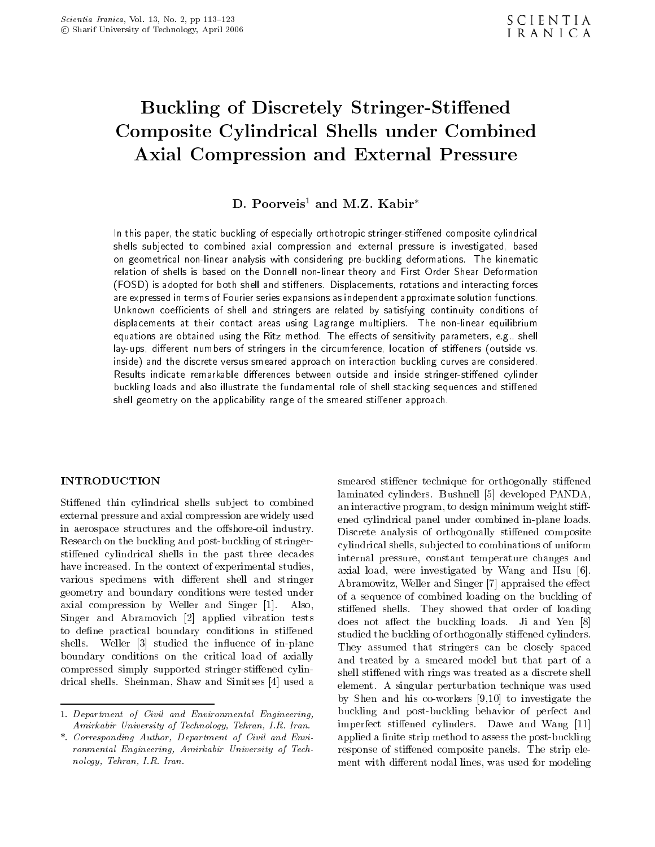# Buckling of Discretely Stringer-Stiffened Composite Cylindrical Shells under Combined Axial Compression and External Pressure

# D. Poorveis<sup>1</sup> and M.Z. Kabir<sup>\*</sup>

In this paper, the static buckling of especially orthotropic stringer-stiened composite cylindrical shells subjected to combined axial compression and external pressure is investigated, based on geometrical non-linear analysis with considering pre-buckling deformations. The kinematic relation of shells is based on the Donnell non-linear theory and First Order Shear Deformation (FOSD) is adopted for both shell and stieners. Displacements, rotations and interacting forces are expressed in terms of Fourier series expansions as independent approximate solution functions.Unknown coecients of shell and stringers are related by satisfying continuity conditions of displacements at their contact areas using Lagrange multipliers. The non-linear equilibrium equations are obtained using the Ritz method. The eects of sensitivity parameters, e.g., shell lay-ups, dierent numbers of stringers in the circumference, location of stieners (outside vs. inside) and the discrete versus smeared approach on interaction buckling curves are considered. Results indicate remarkable dierences between outside and inside stringer-stiened cylinder buckling loads and also illustrate the fundamental role of shell stacking sequences and stiened shell geometry on the applicability range of the smeared stiener approach.

#### **INTRODUCTION**

Stiffened thin cylindrical shells subject to combined external pressure and axial compression are widely used in aerospace structures and the offshore-oil industry. Research on the buckling and post-buckling of stringerstiffened cylindrical shells in the past three decades have increased. In the context of experimental studies, various specimens with different shell and stringer geometry and boundary conditions were tested under axial compression by Weller and Singer [1]. Also, Singer and Abramovich [2] applied vibration tests to define practical boundary conditions in stiffened shells. Weller [3] studied the influence of in-plane boundary conditions on the critical load of axially compressed simply supported stringer-stiffened cylindrical shells. Sheinman, Shaw and Simitses [4] used a

smeared stiffener technique for orthogonally stiffened laminated cylinders. Bushnell [5] developed PANDA, an interactive program, to design minimum weight stiffened cylindrical panel under combined in-plane loads. Discrete analysis of orthogonally stiffened composite cylindrical shells, sub jected to combinations of uniform internal pressure, constant temperature changes and axial load, were investigated by Wang and Hsu [6]. Abramowitz, Weller and Singer [7] appraised the effect of <sup>a</sup> sequence of combined loading on the buckling of stiffened shells. They showed that order of loading does not affect the buckling loads. Ji and Yen [8] studied the buckling of orthogonally stiffened cylinders. They assumed that stringers can be closely spaced and treated by <sup>a</sup> smeared model but that part of <sup>a</sup> shell stiffened with rings was treated as a discrete shell element. <sup>A</sup> singular perturbation technique was used by Shen and his co-workers [9,10] to investigate the buckling and post-buckling behavior of perfect and imperfect stiffened cylinders. Dawe and Wang [11] applied a finite strip method to assess the post-buckling response of stiffened composite panels. The strip element with different nodal lines, was used for modeling

<sup>1.</sup> Department of Civil and Environmental Engineering, Amirkabir University of Technology, Tehran, I.R. Iran.

<sup>\*.</sup> Corresponding Author, Department of Civil and Environmental Engineering, Amirkabir University of Technology, Tehran, I.R. Iran.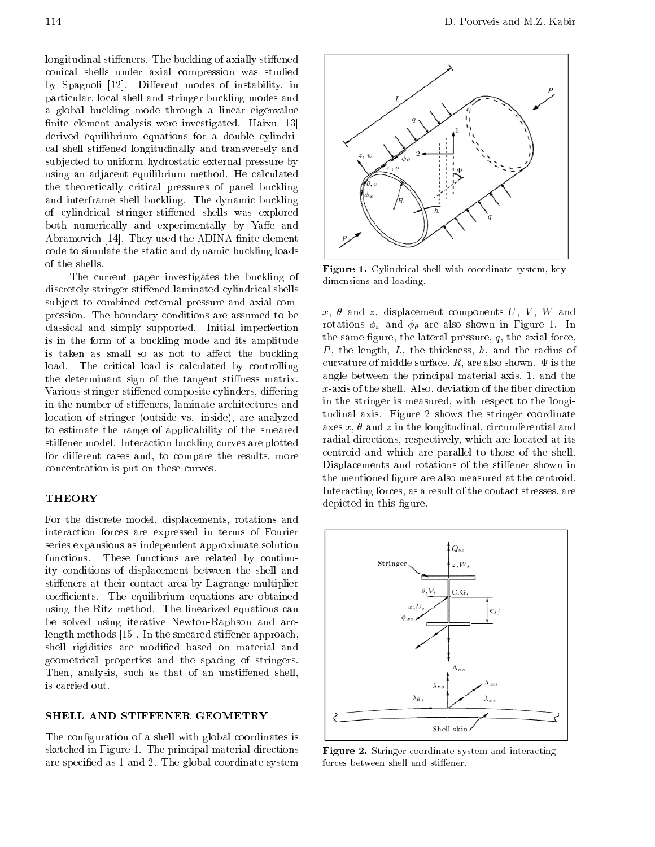longitudinal stiffeners. The buckling of axially stiffened conical shells under axial compression was studied by Spagnoli [12]. Different modes of instability, in particular, local shell and stringer buckling modes and <sup>a</sup> global buckling mode through <sup>a</sup> linear eigenvalue finite element analysis were investigated. Haixu [13] derived equilibrium equations for <sup>a</sup> double cylindrical shell stiffened longitudinally and transversely and subjected to uniform hydrostatic external pressure by using an adjacent equilibrium method. He calculated the theoretically critical pressures of panel buckling and interframe shell buckling. The dynamic buckling of cylindrical stringer-stiffened shells was explored both numerically and experimentally by Yaffe and Abramovich [14]. They used the ADINA finite element code to simulate the static and dynamic buckling loads of the shells.

The current paper investigates the buckling of discretely stringer-stiffened laminated cylindrical shells subject to combined external pressure and axial compression. The boundary conditions are assumed to be classical and simply supported. Initial imperfection is in the form of <sup>a</sup> buckling mode and its amplitude is taken as small so as not to affect the buckling load. The critical load is calculated by controlling the determinant sign of the tangent stiffness matrix. Various stringer-stiffened composite cylinders, differing in the number of stiffeners, laminate architectures and location of stringer (outside vs. inside), are analyzed to estimate the range of applicability of the smeared stiffener model. Interaction buckling curves are plotted for different cases and, to compare the results, more concentration is put on these curves.

#### **THEORY**

For the discrete model, displacements, rotations and interaction forces are expressed in terms of Fourier series expansions as independent approximate solution functions. These functions are related by continuity conditions of displacement between the shell and stiffeners at their contact area by Lagrange multiplier coefficients. The equilibrium equations are obtained using the Ritz method. The linearized equations can be solved using iterative Newton-Raphson and arclength methods  $[15]$ . In the smeared stiffener approach, shell rigidities are modified based on material and geometrical properties and the spacing of stringers. Then, analysis, such as that of an unstiffened shell, is carried out.

#### SHELL AND STIFFENER GEOMETRY

The configuration of a shell with global coordinates is sketched in Figure 1. The principal material directions are specied as 1 and 2. The global coordinate system



Figure 1. Cylindrical shell with coordinate system, key dimensions and loading.

 $x, \theta$  and  $z$ , displacement components  $U, V, W$  and rotations  $\phi_x$  and  $\phi_\theta$  are also shown in Figure 1. In the same figure, the lateral pressure,  $q$ , the axial force, P, the length,  $L$ , the thickness,  $h$ , and the radius of curvature of middle surface,  $R$ , are also shown.  $\Psi$  is the angle between the principal material axis, 1, and the  $x$ -axis of the shell. Also, deviation of the fiber direction in the stringer is measured, with respect to the longitudinal axis. Figure <sup>2</sup> shows the stringer coordinate axes  $x, \theta$  and z in the longitudinal, circumferential and radial directions, respectively, which are located at its centroid and which are parallel to those of the shell. Displacements and rotations of the stiffener shown in the mentioned figure are also measured at the centroid. Interacting forces, as a result of the contact stresses, are depicted in this figure.



Figure 2. Stringer coordinate system and interacting forces between shell and stiffener.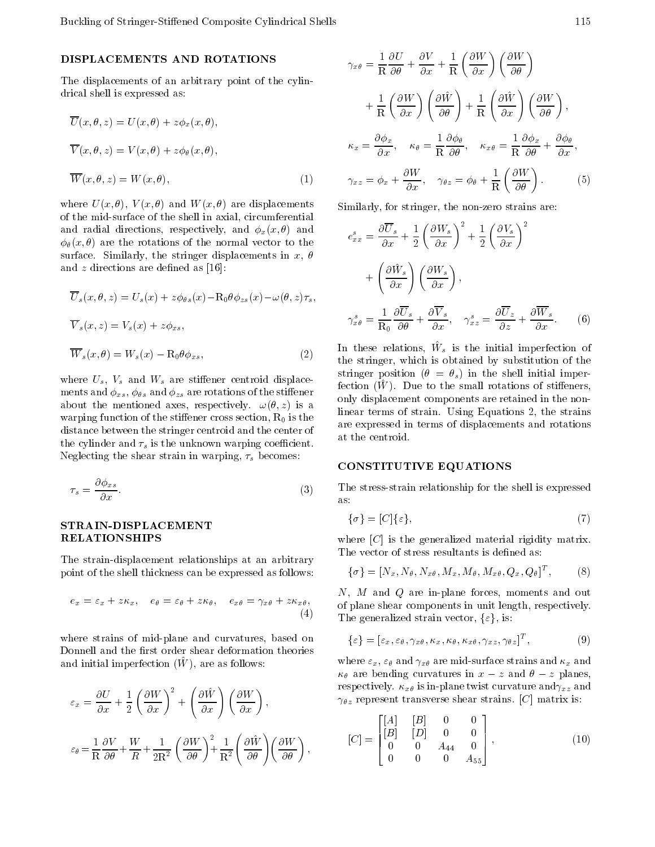### DISPLACEMENTS AND ROTATIONS

The displacements of an arbitrary point of the cylindrical shell is expressed as:

$$
\overline{U}(x,\theta,z) = U(x,\theta) + z\phi_x(x,\theta),
$$
  

$$
\overline{V}(x,\theta,z) = V(x,\theta) + z\phi_\theta(x,\theta),
$$
  

$$
\overline{W}(x,\theta,z) = W(x,\theta),
$$
 (1)

where  $U(x, \theta)$ ,  $V(x, \theta)$  and  $W(x, \theta)$  are displacements of the mid-surface of the shell in axial, circumferential and radial directions, respectively, and  $\phi_x(x, \theta)$  and  $\phi_{\theta}(x, \theta)$  are the rotations of the normal vector to the surface. Similarly, the stringer displacements in x,  $\theta$ and  $z$  directions are defined as [16]:

$$
\overline{U}_s(x,\theta,z) = U_s(x) + z\phi_{\theta s}(x) \quad \mathcal{R}_0 \theta \phi_{zs}(x) \quad \omega(\theta,z)\tau_s,
$$
  

$$
\overline{V}_s(x,z) = V_s(x) + z\phi_{xs},
$$
  

$$
\overline{W}_s(x,\theta) = W_s(x) \quad \mathcal{R}_0 \theta \phi_{xs},
$$
 (2)  $\frac{\text{I}_1}{\text{I}_2}$ 

where  $U_s$ ,  $V_s$  and  $W_s$  are stiffener centroid displacements and  $\phi_{xs}$ ,  $\phi_{\theta s}$  and  $\phi_{zs}$  are rotations of the stiffener about the mentioned axes, respectively.  $\omega(\theta, z)$  is a warping function of the stiffener cross section,  $R_0$  is the distance between the stringer centroid and the center of the cylinder and  $\tau_s$  is the unknown warping coefficient. Neglecting the shear strain in warping,  $\tau_s$  becomes:

$$
\tau_s = \frac{\partial \phi_{xs}}{\partial x}.\tag{3}
$$

#### STRAIN-DISPLACEMENT RELATIONSHIPS

The strain-displacement relationships at an arbitrary point of the shell thickness can be expressed as follows:

$$
e_x = \varepsilon_x + z\kappa_x, \quad e_\theta = \varepsilon_\theta + z\kappa_\theta, \quad e_{x\theta} = \gamma_{x\theta} + z\kappa_{x\theta}, \quad \text{of} \quad (4)
$$

where strains of mid-plane and curvatures, based on Donnell and the first order shear deformation theories and initial imperfection  $(W)$ , are as follows:

$$
\varepsilon_x = \frac{\partial U}{\partial x} + \frac{1}{2} \left( \frac{\partial W}{\partial x} \right)^2 + \left( \frac{\partial \hat{W}}{\partial x} \right) \left( \frac{\partial W}{\partial x} \right),
$$
\n
$$
\varepsilon_{\theta} = \frac{1}{R} \frac{\partial V}{\partial \theta} + \frac{W}{R} + \frac{1}{2R^2} \left( \frac{\partial W}{\partial \theta} \right)^2 + \frac{1}{R^2} \left( \frac{\partial \hat{W}}{\partial \theta} \right) \left( \frac{\partial W}{\partial \theta} \right),
$$
\n[C] =

$$
\gamma_{x\theta} = \frac{1}{R} \frac{\partial U}{\partial \theta} + \frac{\partial V}{\partial x} + \frac{1}{R} \left( \frac{\partial W}{\partial x} \right) \left( \frac{\partial W}{\partial \theta} \right)
$$
  
+ 
$$
\frac{1}{R} \left( \frac{\partial W}{\partial x} \right) \left( \frac{\partial \hat{W}}{\partial \theta} \right) + \frac{1}{R} \left( \frac{\partial \hat{W}}{\partial x} \right) \left( \frac{\partial W}{\partial \theta} \right),
$$
  

$$
\kappa_x = \frac{\partial \phi_x}{\partial x}, \quad \kappa_{\theta} = \frac{1}{R} \frac{\partial \phi_{\theta}}{\partial \theta}, \quad \kappa_{x\theta} = \frac{1}{R} \frac{\partial \phi_x}{\partial \theta} + \frac{\partial \phi_{\theta}}{\partial x},
$$
  

$$
\gamma_{xz} = \phi_x + \frac{\partial W}{\partial x}, \quad \gamma_{\theta z} = \phi_{\theta} + \frac{1}{R} \left( \frac{\partial W}{\partial \theta} \right).
$$
 (5)

Similarly, for stringer, the non-zero strains are:

$$
e_{xx}^s = \frac{\partial \overline{U}_s}{\partial x} + \frac{1}{2} \left(\frac{\partial W_s}{\partial x}\right)^2 + \frac{1}{2} \left(\frac{\partial V_s}{\partial x}\right)^2
$$

$$
+ \left(\frac{\partial \hat{W}_s}{\partial x}\right) \left(\frac{\partial W_s}{\partial x}\right),
$$

$$
\gamma_{x\theta}^s = \frac{1}{\mathcal{R}_0} \frac{\partial \overline{U}_s}{\partial \theta} + \frac{\partial \overline{V}_s}{\partial x}, \quad \gamma_{xz}^s = \frac{\partial \overline{U}_z}{\partial z} + \frac{\partial \overline{W}_s}{\partial x}.
$$
(6)

In these relations, W^ <sup>s</sup> is the initial imperfection of the stringer, which is obtained by substitution of the stringer position ( $\theta = \theta_s$ ) in the shell initial imper $f_{\rm E}$  (W  $\mu$  ). Due to the small rotations of stilleners, only displacement components are retained in the nonlinear terms of strain. Using Equations 2, the strains are expressed in terms of displacements and rotations at the centroid.

#### CONSTITUTIVE EQUATIONS

The stress-strain relationship for the shell is expressed as:

$$
\{\sigma\} = [C]\{\varepsilon\},\tag{7}
$$

where  $|C|$  is the generalized material rigidity matrix. The vector of stress resultants is defined as:

$$
\{\sigma\} = [N_x, N_\theta, N_{x\theta}, M_x, M_\theta, M_{x\theta}, Q_x, Q_\theta]^T, \tag{8}
$$

 $\mathcal{L}$  The generalized strain vector,  $\{\varepsilon\}$ , is: N, <sup>M</sup> and <sup>Q</sup> are in-plane forces, moments and out of plane shear components in unit length, respectively.

$$
\{\varepsilon\} = [\varepsilon_x, \varepsilon_\theta, \gamma_{x\theta}, \kappa_x, \kappa_\theta, \kappa_{x\theta}, \gamma_{xz}, \gamma_{\theta z}]^T, \tag{9}
$$

where  $\varepsilon_x$ ,  $\varepsilon_\theta$  and  $\gamma_{x\theta}$  are mid-surface strains and  $\kappa_x$  and  $\kappa_{\theta}$  are bending curvatures in x z and  $\theta$  z planes, respectively.  $\kappa_{x\theta}$  is in-plane twist curvature and  $\gamma_{xz}$  and  $\gamma_{\theta z}$  represent transverse shear strains. [C] matrix is:

$$
[C] = \begin{bmatrix} [A] & [B] & 0 & 0 \\ [B] & [D] & 0 & 0 \\ 0 & 0 & A_{44} & 0 \\ 0 & 0 & 0 & A_{55} \end{bmatrix},
$$
(10)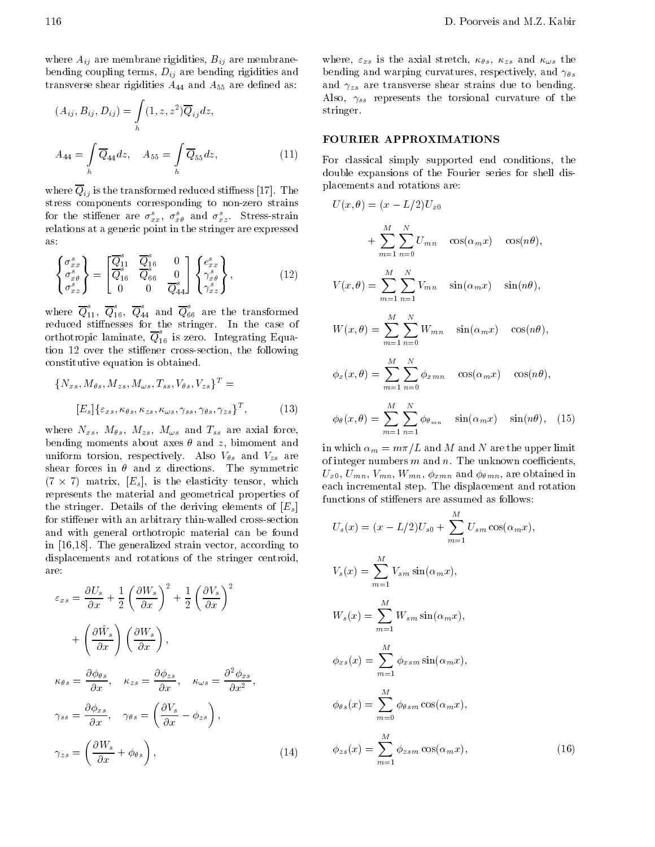where  $A_{ij}$  are membrane rigidities,  $B_{ij}$  are membranebending coupling terms,  $D_{ij}$  are bending rigidities and transverse shear rigidities  $A_{44}$  and  $A_{55}$  are defined as:

$$
(A_{ij}, B_{ij}, D_{ij}) = \int_h (1, z, z^2) \overline{Q}_{ij} dz,
$$
  
\n
$$
A_{44} = \int_h \overline{Q}_{44} dz, \quad A_{55} = \int_h \overline{Q}_{55} dz,
$$
  
\n(11) F  
\nd

where  $Q_{ij}$  is the transformed reduced stiffness [17]. The stress components corresponding to non-zero strains for the stiffener are  $\sigma_{xx}^s$ ,  $\sigma_{x\theta}^s$  and  $\sigma_{xz}^s$ . Stress-strain relations at a generic point in the stringer are expressed as:

$$
\begin{Bmatrix}\n\sigma_{xx}^s \\
\sigma_{x\theta}^s \\
\sigma_{xz}^s\n\end{Bmatrix} = \begin{bmatrix}\n\overline{Q}_{11}^s & \overline{Q}_{16}^s & 0 \\
\overline{Q}_{16}^s & \overline{Q}_{66}^s & 0 \\
0 & 0 & \overline{Q}_{44}^s\n\end{bmatrix} \begin{Bmatrix}\ne_{xx}^s \\
\gamma_{x\theta}^s \\
\gamma_{xz}^s\n\end{Bmatrix},
$$
\n(12)

where  $Q_{11}^{\scriptscriptstyle\bullet},\;Q_{16}^{\scriptscriptstyle\bullet},\;Q_{44}^{\scriptscriptstyle\bullet}$  and  $Q_{66}^{\scriptscriptstyle\bullet}$  are the transformed reduced stinesses for the stringer. In the case of orthotropic laminate,  $Q_{16}^-$  is zero. Integrating Equation 12 over the stiffener cross-section, the following constitutive equation is obtained.

$$
\{N_{xs}, M_{\theta s}, M_{zs}, M_{\omega s}, T_{ss}, V_{\theta s}, V_{zs}\}^T =
$$

$$
[E_s] \{\varepsilon_{xs}, \kappa_{\theta s}, \kappa_{zs}, \kappa_{\omega s}, \gamma_{ss}, \gamma_{\theta s}, \gamma_{zs}\}^T,
$$
(13)

where  $N_{xs}$ ,  $M_{\theta s}$ ,  $M_{zs}$ ,  $M_{\omega s}$  and  $T_{ss}$  are axial force, bending moments about axes  $\theta$  and z, bimoment and uniform torsion, respectively. Also  $V_{\theta s}$  and  $V_{zs}$  are shear forces in  $\theta$  and z directions. The symmetric (7  $7$   $7$  matrix,  $[Fe]$ , is the elasticity tensor, which which a said -represents the material and geometrical properties of the stringer. Details of the deriving elements of  $[E_s]$ for stiffener with an arbitrary thin-walled cross-section and with general orthotropic material can be found in [16,18]. The generalized strain vector, according to displacements and rotations of the stringer centroid, are:

$$
\varepsilon_{xs} = \frac{\partial U_s}{\partial x} + \frac{1}{2} \left( \frac{\partial W_s}{\partial x} \right)^2 + \frac{1}{2} \left( \frac{\partial V_s}{\partial x} \right)^2 \n+ \left( \frac{\partial \hat{W}_s}{\partial x} \right) \left( \frac{\partial W_s}{\partial x} \right), \n\kappa_{\theta s} = \frac{\partial \phi_{\theta s}}{\partial x}, \quad \kappa_{zs} = \frac{\partial \phi_{zs}}{\partial x}, \quad \kappa_{\omega s} = \frac{\partial^2 \phi_{xs}}{\partial x^2}, \n\gamma_{ss} = \frac{\partial \phi_{xs}}{\partial x}, \quad \gamma_{\theta s} = \left( \frac{\partial V_s}{\partial x} \quad \phi_{zs} \right), \n\gamma_{zs} = \left( \frac{\partial W_s}{\partial x} + \phi_{\theta s} \right),
$$
\n(14)

where,  $\varepsilon_{xs}$  is the axial stretch,  $\kappa_{\theta s}$ ,  $\kappa_{zs}$  and  $\kappa_{\omega s}$  the bending and warping curvatures, respectively, and  $\gamma_{\theta s}$ and  $\gamma_{zs}$  are transverse shear strains due to bending. Also,  $\gamma_{ss}$  represents the torsional curvature of the stringer.

#### FOURIER APPROXIMATIONS

For classical simply supported end conditions, the double expansions of the Fourier series for shell displacements and rotations are:

$$
U(x,\theta) = (x - L/2)U_{x0}
$$
  
+ 
$$
\sum_{m=1}^{M} \sum_{n=0}^{N} U_{mn} \cos(\alpha_m x) \cos(n\theta),
$$
  

$$
V(x,\theta) = \sum_{m=1}^{M} \sum_{n=1}^{N} V_{mn} \sin(\alpha_m x) \sin(n\theta),
$$
  

$$
W(x,\theta) = \sum_{m=1}^{M} \sum_{n=0}^{N} W_{mn} \sin(\alpha_m x) \cos(n\theta),
$$
  

$$
\phi_x(x,\theta) = \sum_{m=1}^{M} \sum_{n=0}^{N} \phi_{xmn} \cos(\alpha_m x) \cos(n\theta),
$$
  

$$
\phi_\theta(x,\theta) = \sum_{m=1}^{M} \sum_{n=0}^{N} \phi_{\theta_{mn}} \sin(\alpha_m x) \sin(n\theta),
$$
(15)

in which  $\alpha_m = m\pi/L$  and M and N are the upper limit of integer numbers  $m$  and  $n$ . The unknown coefficients,  $U_{x0}, U_{mn}, V_{mn}, W_{mn}, \phi_{xmn}$  and  $\phi_{\theta mn}$ , are obtained in each incremental step. The displacement and rotation functions of stiffeners are assumed as follows:

m=1 n=1

$$
U_s(x) = (x \ L/2)U_{s0} + \sum_{m=1}^{M} U_{sm} \cos(\alpha_m x),
$$
  
\n
$$
V_s(x) = \sum_{m=1}^{M} V_{sm} \sin(\alpha_m x),
$$
  
\n
$$
W_s(x) = \sum_{m=1}^{M} W_{sm} \sin(\alpha_m x),
$$
  
\n
$$
\phi_{xs}(x) = \sum_{m=1}^{M} \phi_{xsm} \sin(\alpha_m x),
$$
  
\n
$$
\phi_{\theta s}(x) = \sum_{m=0}^{M} \phi_{\theta sm} \cos(\alpha_m x),
$$
  
\n
$$
\phi_{zs}(x) = \sum_{m=1}^{M} \phi_{zsm} \cos(\alpha_m x),
$$
\n(16)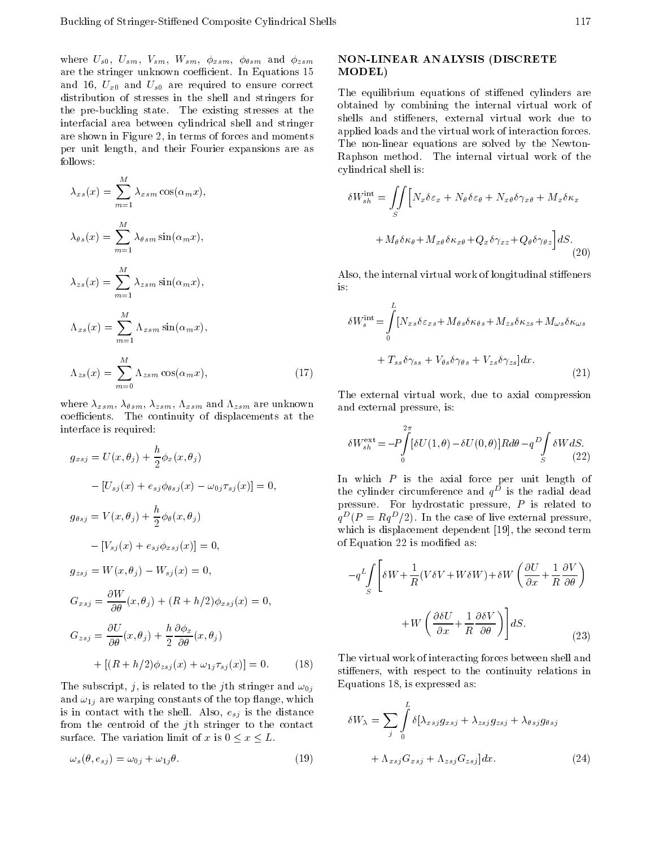where  $U_{s0}$ ,  $U_{sm}$ ,  $V_{sm}$ ,  $W_{sm}$ ,  $\phi_{xsm}$ ,  $\phi_{\theta sm}$  and  $\phi_{zsm}$ are the stringer unknown coefficient. In Equations 15 and 16,  $U_{x0}$  and  $U_{s0}$  are required to ensure correct distribution of stresses in the shell and stringers for the pre-buckling state. The existing stresses at the interfacial area between cylindrical shell and stringer are shown in Figure 2, in terms of forces and moments per unit length, and their Fourier expansions are as follows:

$$
\lambda_{xs}(x) = \sum_{m=1}^{M} \lambda_{xsm} \cos(\alpha_m x),
$$
  
\n
$$
\lambda_{\theta s}(x) = \sum_{m=1}^{M} \lambda_{\theta sm} \sin(\alpha_m x),
$$
  
\n
$$
\lambda_{zs}(x) = \sum_{m=1}^{M} \lambda_{zsm} \sin(\alpha_m x),
$$
  
\n
$$
\Lambda_{xs}(x) = \sum_{m=1}^{M} \Lambda_{xsm} \sin(\alpha_m x),
$$
  
\n
$$
\Lambda_{zs}(x) = \sum_{m=0}^{M} \Lambda_{zsm} \cos(\alpha_m x),
$$
\n(17)

where  $\lambda_{xsm},\,\lambda_{\theta sm},\,\lambda_{zsm},\,\Lambda_{xsm}$  and  $\Lambda_{zsm}$  are unknown coefficients. The continuity of displacements at the interface is required:

$$
g_{xsj} = U(x, \theta_j) + \frac{h}{2} \phi_x(x, \theta_j)
$$
  
\n
$$
[U_{sj}(x) + e_{sj} \phi_{\theta sj}(x) \quad \omega_{0j} \tau_{sj}(x)] = 0,
$$
  
\n
$$
g_{\theta sj} = V(x, \theta_j) + \frac{h}{2} \phi_{\theta}(x, \theta_j)
$$
  
\n
$$
[V_{sj}(x) + e_{sj} \phi_{xsj}(x)] = 0,
$$
  
\n
$$
g_{zsj} = W(x, \theta_j) \quad W_{sj}(x) = 0,
$$
  
\n
$$
G_{xsj} = \frac{\partial W}{\partial \theta}(x, \theta_j) + (R + h/2) \phi_{xsj}(x) = 0,
$$
  
\n
$$
G_{zsj} = \frac{\partial U}{\partial \theta}(x, \theta_j) + \frac{h}{2} \frac{\partial \phi_x}{\partial \theta}(x, \theta_j)
$$
  
\n
$$
+ [(R + h/2) \phi_{zsj}(x) + \omega_{1j} \tau_{sj}(x)] = 0.
$$
  
\n(18)

The subscript, j, is related to the j<sup>th</sup> stringer and  $\omega_{0j}$ and  $\omega_{1j}$  are warping constants of the top flange, which is in contact with the shell. Also,  $e_{sj}$  is the distance from the centroid of the jth stringer to the contact surface. The variation limit of <sup>x</sup> is 0 <sup>x</sup> L.

$$
\omega_s(\theta, e_{sj}) = \omega_{0j} + \omega_{1j}\theta. \tag{19}
$$

# NON-LINEAR ANALYSIS (DISCRETE MODEL)

The equilibrium equations of stiffened cylinders are obtained by combining the internal virtual work of shells and stiffeners, external virtual work due to applied loads and the virtual work of interaction forces. The non-linear equations are solved by the Newton-Raphson method. The internal virtual work of the cylindrical shell is:

$$
\delta W_{sh}^{\text{int}} = \iint_{S} \left[ N_x \delta \varepsilon_x + N_\theta \delta \varepsilon_\theta + N_{x\theta} \delta \gamma_{x\theta} + M_x \delta \kappa_x \right. \\ + M_\theta \delta \kappa_\theta + M_{x\theta} \delta \kappa_{x\theta} + Q_x \delta \gamma_{xz} + Q_\theta \delta \gamma_{\theta z} \right] dS. \tag{20}
$$

Also, the internal virtual work of longitudinal stiffeners is:

$$
\delta W_s^{\text{int}} = \int_0^L [N_{xs}\delta\varepsilon_{xs} + M_{\theta s}\delta\kappa_{\theta s} + M_{zs}\delta\kappa_{zs} + M_{\omega s}\delta\kappa_{\omega s} + T_{ss}\delta\gamma_{ss} + V_{\theta s}\delta\gamma_{\theta s} + V_{zs}\delta\gamma_{zs}]dx.
$$
\n(21)

The external virtual work, due to axial compression and external pressure, is:

$$
\delta W_{sh}^{\text{ext}} = P \int_{0}^{2\pi} [\delta U(1,\theta) \quad \delta U(0,\theta)] R d\theta \quad q^D \int_{S} \delta W dS. \tag{22}
$$

In which  $P$  is the axial force per unit length of the cynnder circumference and  $q^\perp$  is the radial dead pressure. For hydrostatic pressure, <sup>P</sup> is related to  $q^-(P) = Rq^-/2$ . In the case of live external pressure, which is displacement dependent [19], the second term of Equation 22 is modied as:

$$
q^{L} \int_{S} \left[ \delta W + \frac{1}{R} (V \delta V + W \delta W) + \delta W \left( \frac{\partial U}{\partial x} + \frac{1}{R} \frac{\partial V}{\partial \theta} \right) + W \left( \frac{\partial \delta U}{\partial x} + \frac{1}{R} \frac{\partial \delta V}{\partial \theta} \right) \right] dS.
$$
\n(23)

The virtual work of interacting forces between shell and stiffeners, with respect to the continuity relations in Equations 18, is expressed as:

$$
\delta W_{\lambda} = \sum_{j} \int_{0}^{L} \delta[\lambda_{xsj} g_{xsj} + \lambda_{zsj} g_{zsj} + \lambda_{\theta sj} g_{\theta sj} + \Lambda_{xsj} G_{xsj} + \Lambda_{zsj} G_{zsj}] dx.
$$
 (24)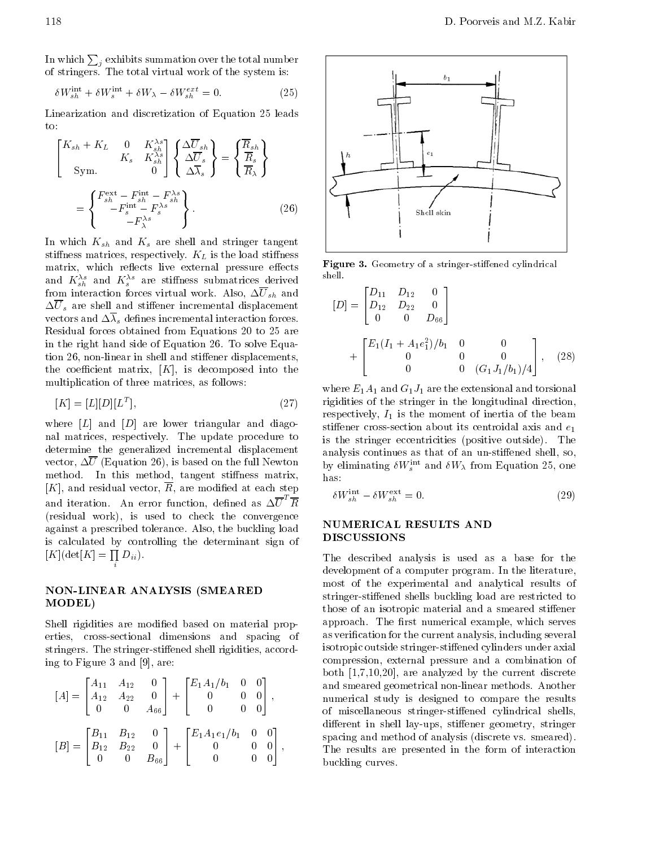In which  $\sum_j$  exhibits summation over the total number  $\qquad \lceil$ of stringers. The total virtual work of the system is:

$$
\delta W_{sh}^{\text{int}} + \delta W_s^{\text{int}} + \delta W_\lambda \quad \delta W_{sh}^{ext} = 0. \tag{25}
$$

Linearization and discretization of Equation <sup>25</sup> leads  $\rm{to}$ 

$$
\begin{bmatrix}\nK_{sh} + K_L & 0 & K_{sh}^{\lambda s} \\
K_s & K_{sh}^{\lambda s} \\
\text{Sym.} & 0\n\end{bmatrix}\n\begin{Bmatrix}\n\Delta \overline{U}_{sh} \\
\Delta \overline{U}_{s} \\
\Delta \overline{X}_{s}\n\end{Bmatrix} =\n\begin{Bmatrix}\n\overline{R}_{sh} \\
\overline{R}_{s} \\
\overline{R}_{\lambda}\n\end{Bmatrix}
$$
\n
$$
= \begin{Bmatrix}\nF_{sh}^{\text{ext}} & F_{sh}^{\text{int}} & F_{sh}^{\lambda s} \\
F_{s}^{\text{int}} & F_{s}^{\lambda s}\n\end{Bmatrix}.
$$
\n(26)

In which  $K_{sh}$  and  $K_s$  are shell and stringer tangent stiffness matrices, respectively.  $K_L$  is the load stiffness matrix, which reflects live external pressure effects and  $K_{sh}$  and  $K_{s}$  are stimuss submatrices derived from interaction forces virtual work. Also,  $\Delta \overline{U}_{sh}$  and  $\Delta\overline{U}_{s}$  are shell and stiffener incremental displacement vectors and  $\Delta\lambda_s$  defines incremental interaction forces. Residual forces obtained from Equations 20 to 25 are in the right hand side of Equation 26. To solve Equation 26, non-linear in shell and stiffener displacements, the coefficient matrix,  $[K]$ , is decomposed into the multiplication of three matrices, as follows:

$$
[K] = [L][D][L^T],\tag{27}
$$

where  $[L]$  and  $[D]$  are lower triangular and diagonal matrices, respectively. The update procedure to determine the generalized incremental displacement vector,  $\Delta \overline{U}$  (Equation 26), is based on the full Newton method. In this method, tangent stiffness matrix,  $[K]$ , and residual vector,  $\overline{R}$ , are modified at each step and iteration. An error function, defined as  $\Delta U$  R solution (residual work), is used to check the convergence against a prescribed tolerance. Also, the buckling load is calculated by controlling the determinant sign of  $[K](\det[K] = \prod D_{ii}).$ 

# NON-LINEAR ANALYSIS (SMEARED MODEL)

in the company of the company of the company of the company of the company of the company of the company of the company of the company of the company of the company of the company of the company of the company of the compa

Shell rigidities are modified based on material properties, cross-sectional dimensions and spacing of stringers. The stringer-stiffened shell rigidities, according to Figure 3 and [9], are:

$$
[A] = \begin{bmatrix} A_{11} & A_{12} & 0 \\ A_{12} & A_{22} & 0 \\ 0 & 0 & A_{66} \end{bmatrix} + \begin{bmatrix} E_1 A_1 / b_1 & 0 & 0 \\ 0 & 0 & 0 \\ 0 & 0 & 0 \end{bmatrix},
$$
  

$$
[B] = \begin{bmatrix} B_{11} & B_{12} & 0 \\ B_{12} & B_{22} & 0 \\ 0 & 0 & B_{66} \end{bmatrix} + \begin{bmatrix} E_1 A_1 e_1 / b_1 & 0 & 0 \\ 0 & 0 & 0 \\ 0 & 0 & 0 \end{bmatrix},
$$



Figure 3. Geometry of a stringer-stiffened cylindrical shell.

$$
[D] = \begin{bmatrix} D_{11} & D_{12} & 0 \\ D_{12} & D_{22} & 0 \\ 0 & 0 & D_{66} \end{bmatrix}
$$
  
+ 
$$
\begin{bmatrix} E_1(I_1 + A_1 e_1^2)/b_1 & 0 & 0 \\ 0 & 0 & 0 \\ 0 & 0 & (G_1 J_1/b_1)/4 \end{bmatrix}, (28)
$$

where  $E_1A_1$  and  $G_1J_1$  are the extensional and torsional rigidities of the stringer in the longitudinal direction, respectively,  $I_1$  is the moment of inertia of the beam stiffener cross-section about its centroidal axis and  $\boldsymbol{e}_1$ is the stringer eccentricities (positive outside). The analysis continues as that of an un-stiffened shell, so, by emiminating  $\partial W_s$  and  $\partial W_\lambda$  from Equation 25, one has:

$$
\delta W_{sh}^{\text{int}} \quad \delta W_{sh}^{\text{ext}} = 0. \tag{29}
$$

# NUMERICAL RESULTS AND DISCUSSIONS

<sup>3</sup> dierent in shell lay-ups, stiener geometry, stringer  $\Box$  The results are presented in the form of interaction The described analysis is used as <sup>a</sup> base for the development of a computer program. In the literature, most of the experimental and analytical results of stringer-stiffened shells buckling load are restricted to those of an isotropic material and a smeared stiffener approach. The first numerical example, which serves as verification for the current analysis, including several isotropic outside stringer-stiffened cylinders under axial compression, external pressure and <sup>a</sup> combination of both [1,7,10,20], are analyzed by the current discrete and smeared geometrical non-linear methods. Another numerical study is designed to compare the results of miscellaneous stringer-stiffened cylindrical shells, spacing and method of analysis (discrete vs. smeared). buckling curves.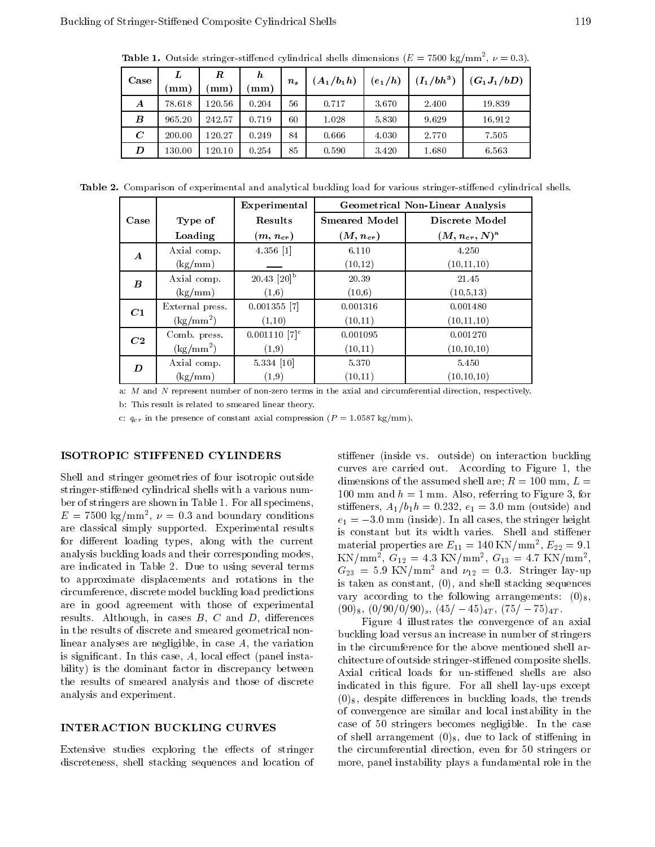**Table 1.** Outside stringer-stiffened cylindrical shells dimensions ( $E = 7500$  kg/mm<sup>-</sup>,  $\nu = 0.3$ ).

| Case             | L          | R          | $\bm{h}$ | $n_{s}$ | $(A_1/b_1h)$ | $(e_1/h)$ | $(I_1/bh^3)$ | $(G_1J_1/bD)$ |
|------------------|------------|------------|----------|---------|--------------|-----------|--------------|---------------|
|                  | mm)        | mm)        | mm)      |         |              |           |              |               |
| A                | 78.618     | $120.56\,$ | 0.204    | 56      | 0.717        | 3.670     | 2.400        | 19.839        |
| $\boldsymbol{B}$ | 965.20     | 242.57     | 0.719    | 60      | 1.028        | 5.830     | 9.629        | 16.912        |
| $\bm{C}$         | 200.00     | 120.27     | 0.249    | 84      | 0.666        | 4.030     | 2.770        | 7.505         |
| D                | $130.00\,$ | 120.10     | 0.254    | 85      | 0.590        | 3.420     | 1.680        | 6.563         |

Table 2. Comparison of experimental and analytical buckling load for various stringer-stiffened cylindrical shells.

|                  |                                            | Experimental                | <b>Geometrical Non-Linear Analysis</b> |                        |  |  |
|------------------|--------------------------------------------|-----------------------------|----------------------------------------|------------------------|--|--|
| Case             | Type of                                    | Results                     | <b>Smeared Model</b>                   | Discrete Model         |  |  |
|                  | Loading                                    | $(m,n_{cr})$                | $(M, n_{cr})$                          | $(M,n_{cr},N)^{\rm a}$ |  |  |
| $\boldsymbol{A}$ | Axial comp.                                | 4.356 [1]                   | 6.110                                  | 4.250                  |  |  |
|                  | $\left(\frac{\text{kg}}{\text{mm}}\right)$ |                             | (10, 12)                               | (10, 11, 10)           |  |  |
| $\boldsymbol{B}$ | Axial comp.                                | $20.43$ [20] <sup>b</sup>   | 20.39                                  | 21.45                  |  |  |
|                  | (kg/mm)                                    | (1,6)                       | (10,6)                                 | (10,5,13)              |  |  |
| C1               | External press.                            | $0.001355$ [7]              | 0.001316                               | 0.001480               |  |  |
|                  | $\rm (kg/mm^2)$                            | (1,10)                      | (10.11)                                | (10, 11, 10)           |  |  |
| C2               | Comb. press.                               | $0.001110$ [7] <sup>c</sup> | 0.001095                               | 0.001270               |  |  |
|                  | $\rm (kg/mm^2)$                            | (1,9)                       | (10,11)                                | (10, 10, 10)           |  |  |
| D                | Axial comp.                                | 5.334 [10]                  | 5.370                                  | 5.450                  |  |  |
|                  | (kg/mm)                                    | (1,9)                       | (10,11)                                | (10, 10, 10)           |  |  |

a: <sup>M</sup> and <sup>N</sup> represent number of non-zero terms in the axial and circumferential direction, respectively.

b: This result is related to smeared linear theory.

c:  $q_{cr}$  in the presence of constant axial compression ( $P = 1.0587$  kg/mm).

#### ISOTROPIC STIFFENED CYLINDERS

Shell and stringer geometries of four isotropic outside stringer-stiffened cylindrical shells with a various number of stringers are shown in Table 1. For all specimens,  $E = 7500 \text{ kg/min}$ ,  $\nu = 0.5$  and boundary conditions are classical simply supported. Experimental results for different loading types, along with the current analysis buckling loads and their corresponding modes, are indicated in Table 2. Due to using several terms to approximate displacements and rotations in the circumference, discrete model buckling load predictions are in good agreement with those of experimental results. Although, in cases  $B, C$  and  $D$ , differences in the results of discrete and smeared geometrical nonlinear analyses are negligible, in case A, the variation is significant. In this case,  $A$ , local effect (panel instability) is the dominant factor in discrepancy between the results of smeared analysis and those of discrete analysis and experiment.

#### INTERACTION BUCKLING CURVES

Extensive studies exploring the effects of stringer discreteness, shell stacking sequences and location of stiffener (inside vs. outside) on interaction buckling curves are carried out. According to Figure 1, the dimensions of the assumed shell are;  $R = 100$  mm,  $L =$ 100 mm and  $h = 1$  mm. Also, referring to Figure 3, for stiffeners,  $A_1/b_1h = 0.232, e_1 = 3.0$  mm (outside) and  $e_1 = 3.0$  mm (inside). In all cases, the stringer height is constant but its width varies. Shell and stiffener material properties are  $E_{11} = 140 \text{ N/Vmm}$ ,  $E_{22} = 9.1$  $KN/\text{min}$ ,  $G_{12} = 4.3$  KN/mm,  $G_{13} = 4.7$  KN/mm, ,  $G_{23}$  = 5.9 KN/mm<sup>2</sup> and  $\nu_{12}$  = 0.3. Stringer lay-up is taken as constant, (0), and shell stacking sequences vary according to the following arrangements:  $(0)_8$ ,  $(90)_8, (0/90/0/90)_s, (45/45)_{4T}, (75/75)_{4T}$ .

Figure <sup>4</sup> illustrates the convergence of an axial buckling load versus an increase in number of stringers in the circumference for the above mentioned shell architecture of outside stringer-stiffened composite shells. Axial critical loads for un-stiffened shells are also indicated in this figure. For all shell lay-ups except  $(0)_8$ , despite differences in buckling loads, the trends of convergence are similar and local instability in the case of <sup>50</sup> stringers becomes negligible. In the case of shell arrangement  $(0)_8$ , due to lack of stiffening in the circumferential direction, even for <sup>50</sup> stringers or more, panel instability plays a fundamental role in the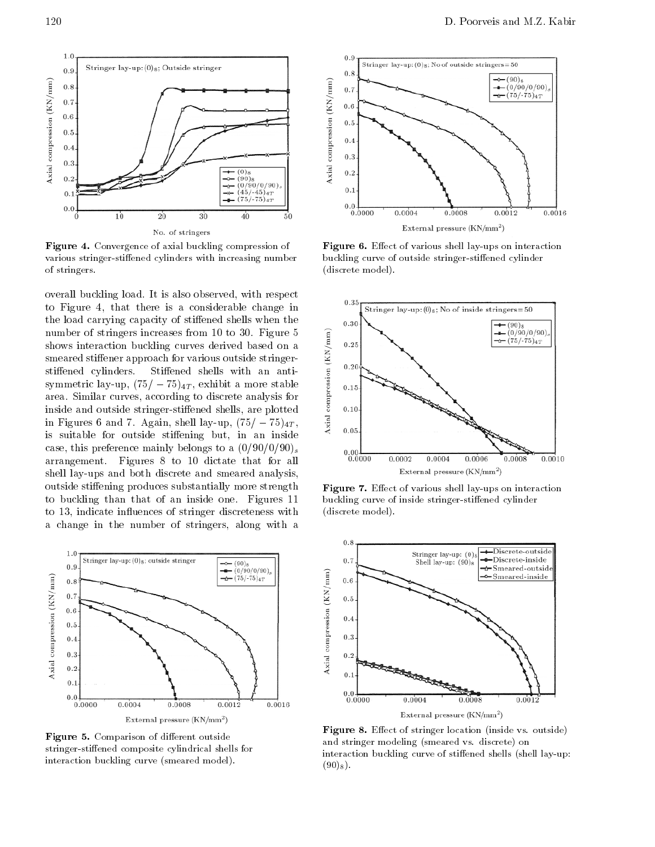

Figure 4. Convergence of axial buckling compression of various stringer-stiffened cylinders with increasing number of stringers.

overall buckling load. It is also observed, with respect to Figure 4, that there is a considerable change in the load carrying capacity of stiffened shells when the number of stringers increases from 10 to 30. Figure 5<br>shows interaction buckling curves derived based on a<br>smeared stiffener approach for various outside stringer-<br>stiffened cylinders. Stiffened shells with an anti-<br>symme shows interaction buckling curves derived based on <sup>a</sup> smeared stiffener approach for various outside stringerstiffened cylinders. Stiffened shells with an antisymmetric lay-up,  $(75/75)_{4T}$ , exhibit a more stable area. Similar curves, according to discrete analysis for inside and outside stringer-stiffened shells, are plotted<br>in Figures 6 and 7. Again, shell lay-up,  $(75/75)_{4T}$ , in Figures 6 and 7. Again, shell lay-up,  $(75/75)_{4T}$ , is suitable for outside stiffening but, in an inside case, this preference mainly belongs to a  $(0/90/0/90)$ <sub>s</sub> arrangement. Figures <sup>8</sup> to <sup>10</sup> dictate that for all shell lay-ups and both discrete and smeared analysis, outside stiffening produces substantially more strength to buckling than that of an inside one. Figures <sup>11</sup> to 13, indicate influences of stringer discreteness with <sup>a</sup> change in the number of stringers, along with <sup>a</sup>



Figure 5. Comparison of different outside stringer-stiffened composite cylindrical shells for interaction buckling curve (smeared model).



Figure 6. Effect of various shell lay-ups on interaction buckling curve of outside stringer-stiffened cylinder (discrete model).



Figure 7. Effect of various shell lay-ups on interaction buckling curve of inside stringer-stiffened cylinder (discrete model).



Figure 8. Effect of stringer location (inside vs. outside) and stringer modeling (smeared vs. discrete) on interaction buckling curve of stiffened shells (shell lay-up:  $(90)_8$ .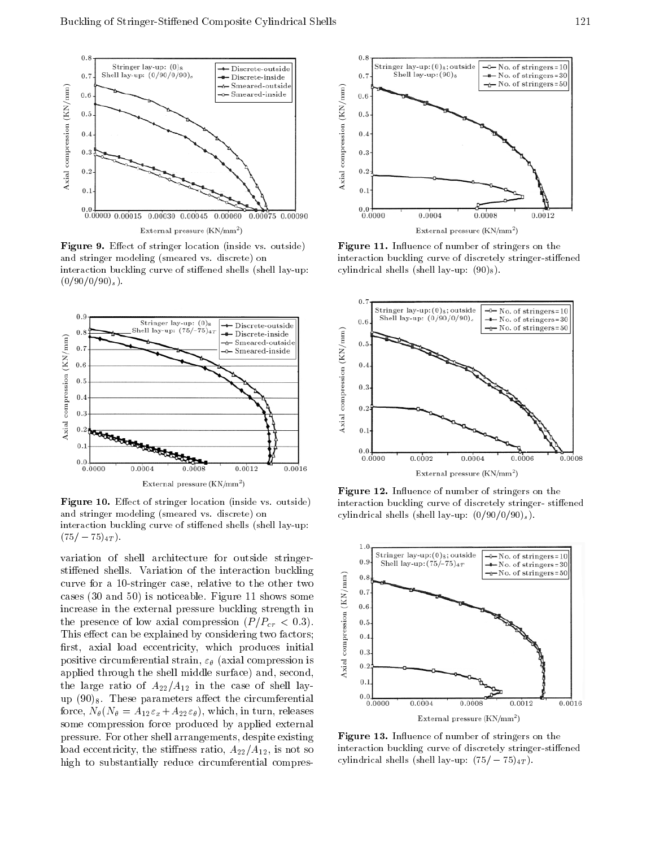

Figure 9. Effect of stringer location (inside vs. outside) and stringer modeling (smeared vs. discrete) on interaction buckling curve of stiffened shells (shell lay-up:  $(0/90/0/90)_s$ .



Figure 10. Effect of stringer location (inside vs. outside) and stringer modeling (smeared vs. discrete) on interaction buckling curve of stiffened shells (shell lay-up:  $(75/ \t75)_{4T}$ .

variation of shell architecture for outside stringerstiffened shells. Variation of the interaction buckling<br>curve for a 10-stringer case, relative to the other two<br>cases (30 and 50) is noticeable. Figure 11 shows some<br>increase in the external pressure buckling strength in<br> curve for <sup>a</sup> 10-stringer case, relative to the other two cases (30 and 50) is noticeable. Figure 11 shows some increase in the external pressure buckling strength in the presence of low axial compression  $(P/P_{cr} < 0.3)$ . This effect can be explained by considering two factors; first, axial load eccentricity, which produces initial positive circumferential strain,  $\varepsilon_{\theta}$  (axial compression is  $\overline{z}$  applied through the shell middle surface) and, second, applied through the shell middle surface) and, second, the large ratio of  $A_{22}/A_{12}$  in the case of shell layup  $(90)_8$ . These parameters affect the circumferential force,  $N_{\theta}(N_{\theta} = A_{12}\varepsilon_x + A_{22}\varepsilon_{\theta})$ , which, in turn, releases some compression force produced by applied external pressure. For other shell arrangements, despite existing load eccentricity, the stiffness ratio,  $A_{22}/A_{12}$ , is not so high to substantially reduce circumferential compres-



Figure 11. Influence of number of stringers on the interaction buckling curve of discretely stringer-stiffened cylindrical shells (shell lay-up:  $(90)_8$ ).



Figure 12. Influence of number of stringers on the interaction buckling curve of discretely stringer-stiffened cylindrical shells (shell lay-up:  $(0/90/0/90)_s$ ).



Figure 13. Influence of number of stringers on the interaction buckling curve of discretely stringer-stiffened cylindrical shells (shell lay-up:  $(75/ 75)_{4T}$ ).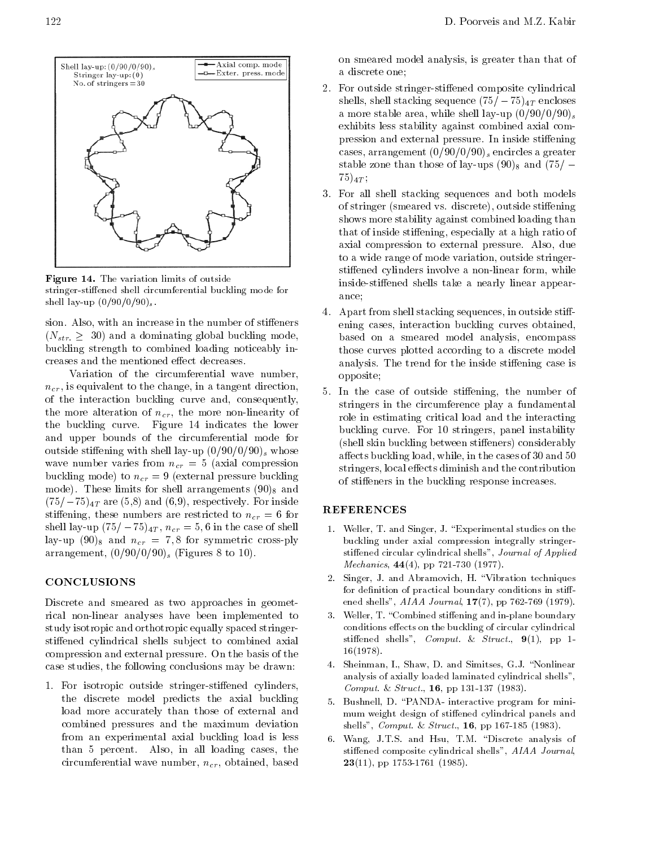

Figure 14. The variation limits of outside stringer-stiffened shell circumferential buckling mode for shell lay-up  $(0/90/0/90)_{s}$ .

sion. Also, with an increase in the number of stiffeners  $(N_{str.} \geq 30)$  and a dominating global buckling mode,  $\frac{30}{2}$  buckling strength to combined loading noticeably increases and the mentioned effect decreases.

Variation of the circumferential wave number,  $n_{cr}$ , is equivalent to the change, in a tangent direction, of the interaction buckling curve and, consequently, the more alteration of  $n_{cr}$ , the more non-linearity of the buckling curve. Figure <sup>14</sup> indicates the lower and upper bounds of the circumferential mode for outside stiffening with shell lay-up  $(0/90/0/90)$ <sub>s</sub> whose wave number varies from  $n_{cr} = 5$  (axial compression buckling mode) to  $n_{cr} = 9$  (external pressure buckling mode). These limits for shell arrangements  $(90)_8$  and  $(75/ 75)<sub>4T</sub>$  are (5,8) and (6,9), respectively. For inside stiffening, these numbers are restricted to  $n_{cr} = 6$  for shell lay-up  $(75/75)_{4T}$ ,  $n_{cr} = 5, 6$  in the case of shell lay-up  $(90)_8$  and  $n_{cr} = 7, 8$  for symmetric cross-ply arrangement,  $(0/90/0/90)$  (Figures 8 to 10).

# **CONCLUSIONS**

Discrete and smeared as two approaches in geometrical non-linear analyses have been implemented to study isotropic and orthotropic equally spaced stringerstiffened cylindrical shells subject to combined axial compression and external pressure. On the basis of the case studies, the following conclusions may be drawn:

1. For isotropic outside stringer-stiffened cylinders, the discrete model predicts the axial buckling load more accurately than those of external and combined pressures and the maximum deviation from an experimental axial buckling load is less than <sup>5</sup> percent. Also, in all loading cases, the circumferential wave number,  $n_{cr}$ , obtained, based

on smeared model analysis, is greater than that of <sup>a</sup> discrete one;

- 2. For outside stringer-stiffened composite cylindrical shells, shell stacking sequence  $(75/- 75)<sub>4T</sub>$  encloses a more stable area, while shell lay-up  $(0/90/0/90)$ <sub>s</sub> exhibits less stability against combined axial compression and external pressure. In inside stiffening cases, arrangement  $(0/90/0/90)$ <sub>s</sub> encircles a greater stable zone than those of lay-ups  $(90)_8$  and  $(75)'$  $(75)_{4T}$ ;
- 3. For all shell stacking sequences and both models of stringer (smeared vs. discrete), outside stiffening shows more stability against combined loading than that of inside stiffening, especially at a high ratio of axial compression to external pressure. Also, due to a wide range of mode variation, outside stringerstiffened cylinders involve a non-linear form, while inside-stiffened shells take a nearly linear appearance;
- 4. Apart from shell stacking sequences, in outside stiffening cases, interaction buckling curves obtained, based on <sup>a</sup> smeared model analysis, encompass those curves plotted according to a discrete model analysis. The trend for the inside stiffening case is opposite;
- 5. In the case of outside stiffening, the number of stringers in the circumference play <sup>a</sup> fundamental role in estimating critical load and the interacting buckling curve. For <sup>10</sup> stringers, panel instability (shell skin buckling between stiffeners) considerably affects buckling load, while, in the cases of 30 and 50 stringers, local effects diminish and the contribution of stiffeners in the buckling response increases.

# REFERENCES

- 1. Weller, T. and Singer, J. "Experimental studies on the buckling under axial compression integrally stringerstiffened circular cylindrical shells", Journal of Applied Mechanics, 44(4), pp 721-730 (1977).
- 2. Singer, J. and Abramovich, H. \Vibration techniques for definition of practical boundary conditions in stiffened shells", AIAA Journal, 17(7), pp 762-769 (1979).
- 3. Weller, T. "Combined stiffening and in-plane boundary conditions effects on the buckling of circular cylindrical stiffened shells", Comput. & Struct.,  $9(1)$ , pp 1-16(1978).
- 4. Sheinman, I., Shaw, D. and Simitses, G.J. "Nonlinear analysis of axially loaded laminated cylindrical shells", Comput. & Struct., 16, pp 131-137 (1983).
- 5. Bushnell, D. \PANDA- interactive program for mini mum weight design of stiffened cylindrical panels and shells", Comput. & Struct., 16, pp 167-185 (1983).
- 6. Wang, J.T.S. and Hsu, T.M. "Discrete analysis of stiffened composite cylindrical shells", AIAA Journal,  $23(11)$ , pp 1753-1761 (1985).